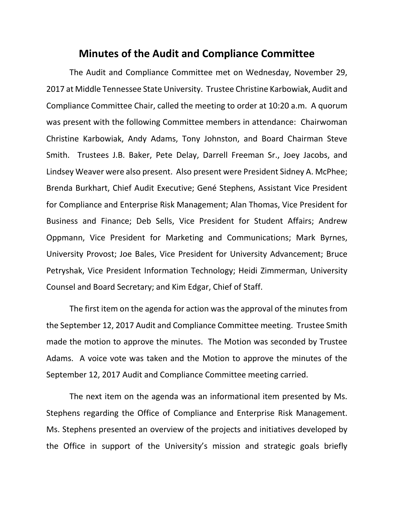## **Minutes of the Audit and Compliance Committee**

The Audit and Compliance Committee met on Wednesday, November 29, 2017 at Middle Tennessee State University. Trustee Christine Karbowiak, Audit and Compliance Committee Chair, called the meeting to order at 10:20 a.m. A quorum was present with the following Committee members in attendance: Chairwoman Christine Karbowiak, Andy Adams, Tony Johnston, and Board Chairman Steve Smith. Trustees J.B. Baker, Pete Delay, Darrell Freeman Sr., Joey Jacobs, and Lindsey Weaver were also present. Also present were President Sidney A. McPhee; Brenda Burkhart, Chief Audit Executive; Gené Stephens, Assistant Vice President for Compliance and Enterprise Risk Management; Alan Thomas, Vice President for Business and Finance; Deb Sells, Vice President for Student Affairs; Andrew Oppmann, Vice President for Marketing and Communications; Mark Byrnes, University Provost; Joe Bales, Vice President for University Advancement; Bruce Petryshak, Vice President Information Technology; Heidi Zimmerman, University Counsel and Board Secretary; and Kim Edgar, Chief of Staff.

The first item on the agenda for action was the approval of the minutes from the September 12, 2017 Audit and Compliance Committee meeting. Trustee Smith made the motion to approve the minutes. The Motion was seconded by Trustee Adams. A voice vote was taken and the Motion to approve the minutes of the September 12, 2017 Audit and Compliance Committee meeting carried.

The next item on the agenda was an informational item presented by Ms. Stephens regarding the Office of Compliance and Enterprise Risk Management. Ms. Stephens presented an overview of the projects and initiatives developed by the Office in support of the University's mission and strategic goals briefly